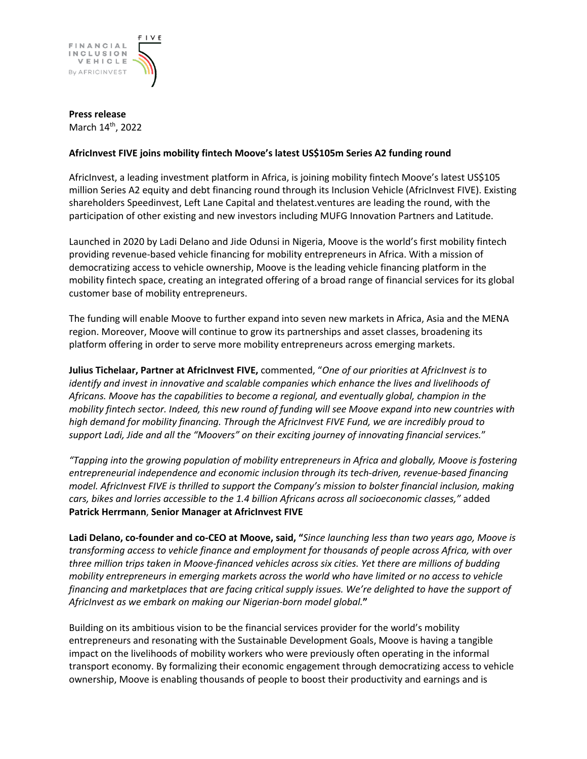

**Press release**  March 14<sup>th</sup>, 2022

## **AfricInvest FIVE joins mobility fintech Moove's latest US\$105m Series A2 funding round**

AfricInvest, a leading investment platform in Africa, is joining mobility fintech Moove's latest US\$105 million Series A2 equity and debt financing round through its Inclusion Vehicle (AfricInvest FIVE). Existing shareholders Speedinvest, Left Lane Capital and thelatest.ventures are leading the round, with the participation of other existing and new investors including MUFG Innovation Partners and Latitude.

Launched in 2020 by Ladi Delano and Jide Odunsi in Nigeria, Moove is the world's first mobility fintech providing revenue-based vehicle financing for mobility entrepreneurs in Africa. With a mission of democratizing access to vehicle ownership, Moove is the leading vehicle financing platform in the mobility fintech space, creating an integrated offering of a broad range of financial services for its global customer base of mobility entrepreneurs.

The funding will enable Moove to further expand into seven new markets in Africa, Asia and the MENA region. Moreover, Moove will continue to grow its partnerships and asset classes, broadening its platform offering in order to serve more mobility entrepreneurs across emerging markets.

**Julius Tichelaar, Partner at AfricInvest FIVE,** commented, "*One of our priorities at AfricInvest is to identify and invest in innovative and scalable companies which enhance the lives and livelihoods of Africans. Moove has the capabilities to become a regional, and eventually global, champion in the mobility fintech sector. Indeed, this new round of funding will see Moove expand into new countries with high demand for mobility financing. Through the AfricInvest FIVE Fund, we are incredibly proud to support Ladi, Jide and all the "Moovers" on their exciting journey of innovating financial services.*"

*"Tapping into the growing population of mobility entrepreneurs in Africa and globally, Moove is fostering entrepreneurial independence and economic inclusion through its tech-driven, revenue-based financing model. AfricInvest FIVE is thrilled to support the Company's mission to bolster financial inclusion, making cars, bikes and lorries accessible to the 1.4 billion Africans across all socioeconomic classes,"* added **Patrick Herrmann**, **Senior Manager at AfricInvest FIVE**

**Ladi Delano, co-founder and co-CEO at Moove, said, "***Since launching less than two years ago, Moove is transforming access to vehicle finance and employment for thousands of people across Africa, with over three million trips taken in Moove-financed vehicles across six cities. Yet there are millions of budding mobility entrepreneurs in emerging markets across the world who have limited or no access to vehicle financing and marketplaces that are facing critical supply issues. We're delighted to have the support of AfricInvest as we embark on making our Nigerian-born model global.***"**

Building on its ambitious vision to be the financial services provider for the world's mobility entrepreneurs and resonating with the Sustainable Development Goals, Moove is having a tangible impact on the livelihoods of mobility workers who were previously often operating in the informal transport economy. By formalizing their economic engagement through democratizing access to vehicle ownership, Moove is enabling thousands of people to boost their productivity and earnings and is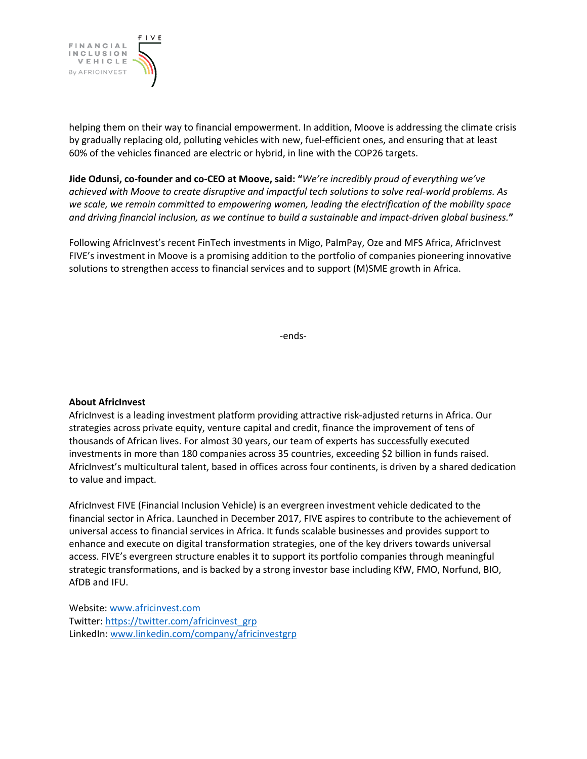

helping them on their way to financial empowerment. In addition, Moove is addressing the climate crisis by gradually replacing old, polluting vehicles with new, fuel-efficient ones, and ensuring that at least 60% of the vehicles financed are electric or hybrid, in line with the COP26 targets.

**Jide Odunsi, co-founder and co-CEO at Moove, said: "***We're incredibly proud of everything we've achieved with Moove to create disruptive and impactful tech solutions to solve real-world problems. As we scale, we remain committed to empowering women, leading the electrification of the mobility space and driving financial inclusion, as we continue to build a sustainable and impact-driven global business.***"**

Following AfricInvest's recent FinTech investments in Migo, PalmPay, Oze and MFS Africa, AfricInvest FIVE's investment in Moove is a promising addition to the portfolio of companies pioneering innovative solutions to strengthen access to financial services and to support (M)SME growth in Africa.

-ends-

## **About AfricInvest**

AfricInvest is a leading investment platform providing attractive risk-adjusted returns in Africa. Our strategies across private equity, venture capital and credit, finance the improvement of tens of thousands of African lives. For almost 30 years, our team of experts has successfully executed investments in more than 180 companies across 35 countries, exceeding \$2 billion in funds raised. AfricInvest's multicultural talent, based in offices across four continents, is driven by a shared dedication to value and impact.

AfricInvest FIVE (Financial Inclusion Vehicle) is an evergreen investment vehicle dedicated to the financial sector in Africa. Launched in December 2017, FIVE aspires to contribute to the achievement of universal access to financial services in Africa. It funds scalable businesses and provides support to enhance and execute on digital transformation strategies, one of the key drivers towards universal access. FIVE's evergreen structure enables it to support its portfolio companies through meaningful strategic transformations, and is backed by a strong investor base including KfW, FMO, Norfund, BIO, AfDB and IFU.

Website: www.africinvest.com Twitter: https://twitter.com/africinvest\_grp LinkedIn: www.linkedin.com/company/africinvestgrp